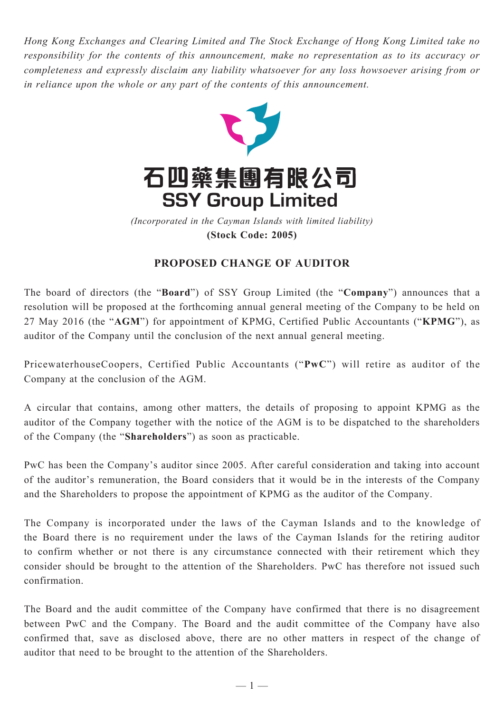*Hong Kong Exchanges and Clearing Limited and The Stock Exchange of Hong Kong Limited take no responsibility for the contents of this announcement, make no representation as to its accuracy or completeness and expressly disclaim any liability whatsoever for any loss howsoever arising from or in reliance upon the whole or any part of the contents of this announcement.*



**(Stock Code: 2005)** *(Incorporated in the Cayman Islands with limited liability)* 

## **PROPOSED CHANGE OF AUDITOR**

The board of directors (the "**Board**") of SSY Group Limited (the "**Company**") announces that a resolution will be proposed at the forthcoming annual general meeting of the Company to be held on 27 May 2016 (the "**AGM**") for appointment of KPMG, Certified Public Accountants ("**KPMG**"), as auditor of the Company until the conclusion of the next annual general meeting.

PricewaterhouseCoopers, Certified Public Accountants ("**PwC**") will retire as auditor of the Company at the conclusion of the AGM.

A circular that contains, among other matters, the details of proposing to appoint KPMG as the auditor of the Company together with the notice of the AGM is to be dispatched to the shareholders of the Company (the "**Shareholders**") as soon as practicable.

PwC has been the Company's auditor since 2005. After careful consideration and taking into account of the auditor's remuneration, the Board considers that it would be in the interests of the Company and the Shareholders to propose the appointment of KPMG as the auditor of the Company.

The Company is incorporated under the laws of the Cayman Islands and to the knowledge of the Board there is no requirement under the laws of the Cayman Islands for the retiring auditor to confirm whether or not there is any circumstance connected with their retirement which they consider should be brought to the attention of the Shareholders. PwC has therefore not issued such confirmation.

The Board and the audit committee of the Company have confirmed that there is no disagreement between PwC and the Company. The Board and the audit committee of the Company have also confirmed that, save as disclosed above, there are no other matters in respect of the change of auditor that need to be brought to the attention of the Shareholders.